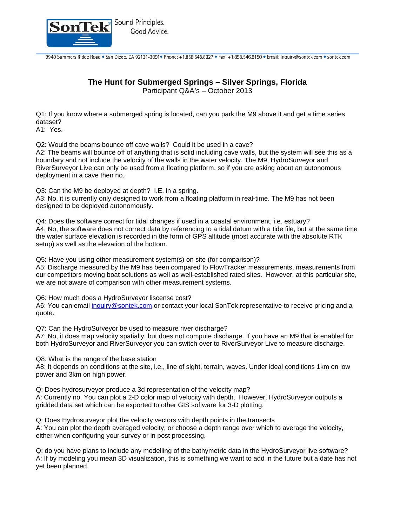

## **The Hunt for Submerged Springs – Silver Springs, Florida**

Participant Q&A's – October 2013

Q1: If you know where a submerged spring is located, can you park the M9 above it and get a time series dataset?

A1: Yes.

Q2: Would the beams bounce off cave walls? Could it be used in a cave?

A2: The beams will bounce off of anything that is solid including cave walls, but the system will see this as a boundary and not include the velocity of the walls in the water velocity. The M9, HydroSurveyor and RiverSurveyor Live can only be used from a floating platform, so if you are asking about an autonomous deployment in a cave then no.

Q3: Can the M9 be deployed at depth? I.E. in a spring.

A3: No, it is currently only designed to work from a floating platform in real-time. The M9 has not been designed to be deployed autonomously.

Q4: Does the software correct for tidal changes if used in a coastal environment, i.e. estuary? A4: No, the software does not correct data by referencing to a tidal datum with a tide file, but at the same time the water surface elevation is recorded in the form of GPS altitude (most accurate with the absolute RTK setup) as well as the elevation of the bottom.

Q5: Have you using other measurement system(s) on site (for comparison)?

A5: Discharge measured by the M9 has been compared to FlowTracker measurements, measurements from our competitors moving boat solutions as well as well-established rated sites. However, at this particular site, we are not aware of comparison with other measurement systems.

Q6: How much does a HydroSurveyor liscense cost?

A6: You can email inquiry@sontek.com or contact your local SonTek representative to receive pricing and a quote.

Q7: Can the HydroSurveyor be used to measure river discharge?

A7: No, it does map velocity spatially, but does not compute discharge. If you have an M9 that is enabled for both HydroSurveyor and RiverSurveyor you can switch over to RiverSurveyor Live to measure discharge.

Q8: What is the range of the base station

A8: It depends on conditions at the site, i.e., line of sight, terrain, waves. Under ideal conditions 1km on low power and 3km on high power.

Q: Does hydrosurveyor produce a 3d representation of the velocity map?

A: Currently no. You can plot a 2-D color map of velocity with depth. However, HydroSurveyor outputs a gridded data set which can be exported to other GIS software for 3-D plotting.

Q: Does Hydrosurveyor plot the velocity vectors with depth points in the transects

A: You can plot the depth averaged velocity, or choose a depth range over which to average the velocity, either when configuring your survey or in post processing.

Q: do you have plans to include any modelling of the bathymetric data in the HydroSurveyor live software? A: If by modeling you mean 3D visualization, this is something we want to add in the future but a date has not yet been planned.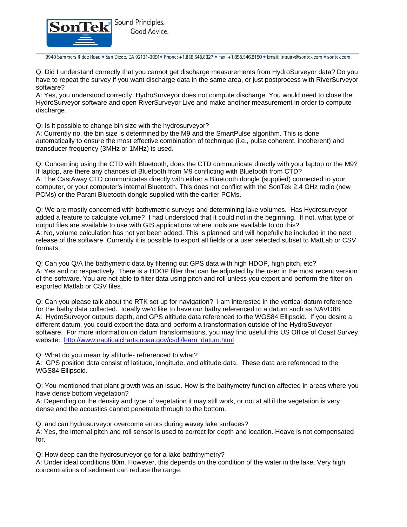

Q: Did I understand correctly that you cannot get discharge measurements from HydroSurveyor data? Do you have to repeat the survey if you want discharge data in the same area, or just postprocess with RiverSurveyor software?

A: Yes, you understood correctly. HydroSurveyor does not compute discharge. You would need to close the HydroSurveyor software and open RiverSurveyor Live and make another measurement in order to compute discharge.

Q: Is it possible to change bin size with the hydrosurveyor?

A: Currently no, the bin size is determined by the M9 and the SmartPulse algorithm. This is done automatically to ensure the most effective combination of technique (i.e., pulse coherent, incoherent) and transducer frequency (3MHz or 1MHz) is used.

Q: Concerning using the CTD with Bluetooth, does the CTD communicate directly with your laptop or the M9? If laptop, are there any chances of Bluetooth from M9 conflicting with Bluetooth from CTD? A: The CastAway CTD communicates directly with either a Bluetooth dongle (supplied) connected to your computer, or your computer's internal Bluetooth. This does not conflict with the SonTek 2.4 GHz radio (new PCMs) or the Parani Bluetooth dongle supplied with the earlier PCMs.

Q: We are mostly concerned with bathymetric surveys and determining lake volumes. Has Hydrosurveyor added a feature to calculate volume? I had understood that it could not in the beginning. If not, what type of output files are available to use with GIS applications where tools are available to do this? A: No, volume calculation has not yet been added. This is planned and will hopefully be included in the next release of the software. Currently it is possible to export all fields or a user selected subset to MatLab or CSV formats.

Q: Can you Q/A the bathymetric data by filtering out GPS data with high HDOP, high pitch, etc? A: Yes and no respectively. There is a HDOP filter that can be adjusted by the user in the most recent version of the software. You are not able to filter data using pitch and roll unless you export and perform the filter on exported Matlab or CSV files.

Q: Can you please talk about the RTK set up for navigation? I am interested in the vertical datum reference for the bathy data collected. Ideally we'd like to have our bathy referenced to a datum such as NAVD88. A: HydroSurveyor outputs depth, and GPS altitude data referenced to the WGS84 Ellipsoid. If you desire a different datum, you could export the data and perform a transformation outside of the HydroSuveyor software. For more information on datum transformations, you may find useful this US Office of Coast Survey website: http://www.nauticalcharts.noaa.gov/csdl/learn\_datum.html

Q: What do you mean by altitude- refrerenced to what?

A: GPS position data consist of latitude, longitude, and altitude data. These data are referenced to the WGS84 Ellipsoid.

Q: You mentioned that plant growth was an issue. How is the bathymetry function affected in areas where you have dense bottom vegetation?

A: Depending on the density and type of vegetation it may still work, or not at all if the vegetation is very dense and the acoustics cannot penetrate through to the bottom.

Q: and can hydrosurveyor overcome errors during wavey lake surfaces?

A: Yes, the internal pitch and roll sensor is used to correct for depth and location. Heave is not compensated for.

Q: How deep can the hydrosurveyor go for a lake baththymetry?

A: Under ideal conditions 80m. However, this depends on the condition of the water in the lake. Very high concentrations of sediment can reduce the range.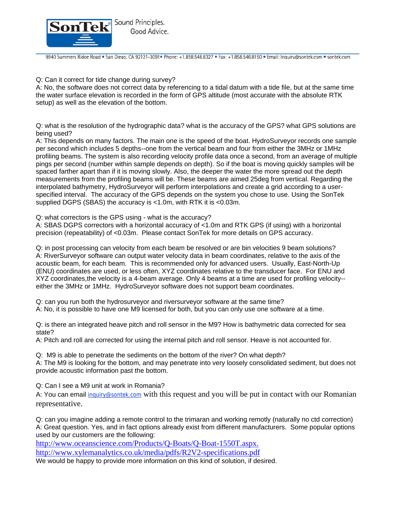

Q: Can it correct for tide change during survey?

A: No, the software does not correct data by referencing to a tidal datum with a tide file, but at the same time the water surface elevation is recorded in the form of GPS altitude (most accurate with the absolute RTK setup) as well as the elevation of the bottom.

Q: what is the resolution of the hydrographic data? what is the accuracy of the GPS? what GPS solutions are being used?

A: This depends on many factors. The main one is the speed of the boat. HydroSurveyor records one sample per second which includes 5 depths--one from the vertical beam and four from either the 3MHz or 1MHz profiling beams. The system is also recording velocity profile data once a second, from an average of multiple pings per second (number within sample depends on depth). So if the boat is moving quickly samples will be spaced farther apart than if it is moving slowly. Also, the deeper the water the more spread out the depth measurements from the profiling beams will be. These beams are aimed 25deg from vertical. Regarding the interpolated bathymetry, HydroSurveyor will perform interpolations and create a grid according to a userspecified interval. The accuracy of the GPS depends on the system you chose to use. Using the SonTek supplied DGPS (SBAS) the accuracy is <1.0m, with RTK it is <0.03m.

Q: what correctors is the GPS using - what is the accuracy?

A: SBAS DGPS correctors with a horizontal accuracy of <1.0m and RTK GPS (if using) with a horizontal precision (repeatability) of <0.03m. Please contact SonTek for more details on GPS accuracy.

Q: in post processing can velocity from each beam be resolved or are bin velocities 9 beam solutions? A: RiverSurveyor software can output water velocity data in beam coordinates, relative to the axis of the acoustic beam, for each beam. This is recommended only for advanced users. Usually, East-North-Up (ENU) coordinates are used, or less often, XYZ coordinates relative to the transducer face. For ENU and XYZ coordinates,the velocity is a 4-beam average. Only 4 beams at a time are used for profiling velocity- either the 3MHz or 1MHz. HydroSurveyor software does not support beam coordinates.

Q: can you run both the hydrosurveyor and riversurveyor software at the same time?

A: No, it is possible to have one M9 licensed for both, but you can only use one software at a time.

Q: is there an integrated heave pitch and roll sensor in the M9? How is bathymetric data corrected for sea state?

A: Pitch and roll are corrected for using the internal pitch and roll sensor. Heave is not accounted for.

Q: M9 is able to penetrate the sediments on the bottom of the river? On what depth?

A: The M9 is looking for the bottom, and may penetrate into very loosely consolidated sediment, but does not provide acoustic information past the bottom.

Q: Can I see a M9 unit at work in Romania?

A: You can email inquiry@sontek.com with this request and you will be put in contact with our Romanian representative.

Q: can you imagine adding a remote control to the trimaran and working remotly (naturally no ctd correction) A: Great question. Yes, and in fact options already exist from different manufacturers. Some popular options used by our customers are the following:

http://www.oceanscience.com/Products/Q-Boats/Q-Boat-1550T.aspx.

http://www.xylemanalytics.co.uk/media/pdfs/R2V2-specifications.pdf

We would be happy to provide more information on this kind of solution, if desired.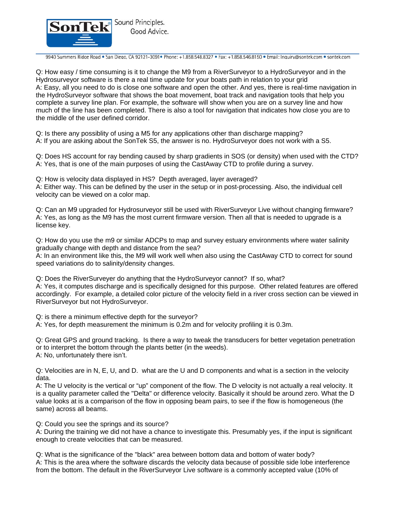

Q: How easy / time consuming is it to change the M9 from a RiverSurveyor to a HydroSurveyor and in the Hydrosurveyor software is there a real time update for your boats path in relation to your grid A: Easy, all you need to do is close one software and open the other. And yes, there is real-time navigation in the HydroSurveyor software that shows the boat movement, boat track and navigation tools that help you complete a survey line plan. For example, the software will show when you are on a survey line and how much of the line has been completed. There is also a tool for navigation that indicates how close you are to the middle of the user defined corridor.

Q: Is there any possiblity of using a M5 for any applications other than discharge mapping? A: If you are asking about the SonTek S5, the answer is no. HydroSurveyor does not work with a S5.

Q: Does HS account for ray bending caused by sharp gradients in SOS (or density) when used with the CTD? A: Yes, that is one of the main purposes of using the CastAway CTD to profile during a survey.

Q: How is velocity data displayed in HS? Depth averaged, layer averaged? A: Either way. This can be defined by the user in the setup or in post-processing. Also, the individual cell velocity can be viewed on a color map.

Q: Can an M9 upgraded for Hydrosurveyor still be used with RiverSurveyor Live without changing firmware? A: Yes, as long as the M9 has the most current firmware version. Then all that is needed to upgrade is a license key.

Q: How do you use the m9 or similar ADCPs to map and survey estuary environments where water salinity gradually change with depth and distance from the sea?

A: In an environment like this, the M9 will work well when also using the CastAway CTD to correct for sound speed variations do to salinity/density changes.

Q: Does the RiverSurveyer do anything that the HydroSurveyor cannot? If so, what? A: Yes, it computes discharge and is specifically designed for this purpose. Other related features are offered accordingly. For example, a detailed color picture of the velocity field in a river cross section can be viewed in RiverSurveyor but not HydroSurveyor.

Q: is there a minimum effective depth for the surveyor?

A: Yes, for depth measurement the minimum is 0.2m and for velocity profiling it is 0.3m.

Q: Great GPS and ground tracking. Is there a way to tweak the transducers for better vegetation penetration or to interpret the bottom through the plants better (in the weeds). A: No, unfortunately there isn't.

Q: Velocities are in N, E, U, and D. what are the U and D components and what is a section in the velocity data.

A: The U velocity is the vertical or "up" component of the flow. The D velocity is not actually a real velocity. It is a quality parameter called the "Delta" or difference velocity. Basically it should be around zero. What the D value looks at is a comparison of the flow in opposing beam pairs, to see if the flow is homogeneous (the same) across all beams.

Q: Could you see the springs and its source?

A: During the training we did not have a chance to investigate this. Presumably yes, if the input is significant enough to create velocities that can be measured.

Q: What is the significance of the "black" area between bottom data and bottom of water body? A: This is the area where the software discards the velocity data because of possible side lobe interference from the bottom. The default in the RiverSurveyor Live software is a commonly accepted value (10% of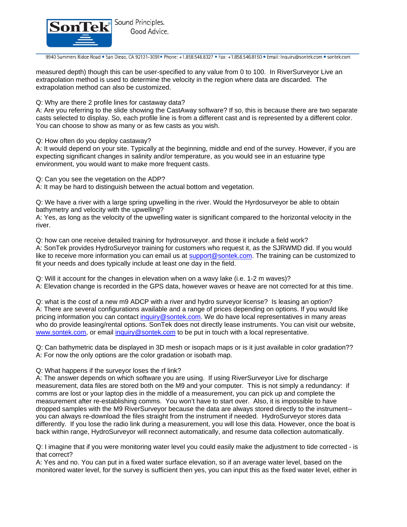

measured depth) though this can be user-specified to any value from 0 to 100. In RiverSurveyor Live an extrapolation method is used to determine the velocity in the region where data are discarded. The extrapolation method can also be customized.

Q: Why are there 2 profile lines for castaway data?

A: Are you referring to the slide showing the CastAway software? If so, this is because there are two separate casts selected to display. So, each profile line is from a different cast and is represented by a different color. You can choose to show as many or as few casts as you wish.

Q: How often do you deploy castaway?

A: It would depend on your site. Typically at the beginning, middle and end of the survey. However, if you are expecting significant changes in salinity and/or temperature, as you would see in an estuarine type environment, you would want to make more frequent casts.

Q: Can you see the vegetation on the ADP?

A: It may be hard to distinguish between the actual bottom and vegetation.

Q: We have a river with a large spring upwelling in the river. Would the Hyrdosurveyor be able to obtain bathymetry and velocity with the upwelling?

A: Yes, as long as the velocity of the upwelling water is significant compared to the horizontal velocity in the river.

Q: how can one receive detailed training for hydrosurveyor. and those it include a field work? A: SonTek provides HydroSurveyor training for customers who request it, as the SJRWMD did. If you would like to receive more information you can email us at support@sontek.com. The training can be customized to fit your needs and does typically include at least one day in the field.

Q: Will it account for the changes in elevation when on a wavy lake (i.e. 1-2 m waves)? A: Elevation change is recorded in the GPS data, however waves or heave are not corrected for at this time.

Q: what is the cost of a new m9 ADCP with a river and hydro surveyor license? Is leasing an option? A: There are several configurations available and a range of prices depending on options. If you would like pricing information you can contact inquiry@sontek.com. We do have local representatives in many areas who do provide leasing/rental options. SonTek does not directly lease instruments. You can visit our website, www.sontek.com, or email inquiry@sontek.com to be put in touch with a local representative.

Q: Can bathymetric data be displayed in 3D mesh or isopach maps or is it just available in color gradation?? A: For now the only options are the color gradation or isobath map.

Q: What happens if the surveyor loses the rf link?

A: The answer depends on which software you are using. If using RiverSurveyor Live for discharge measurement, data files are stored both on the M9 and your computer. This is not simply a redundancy: if comms are lost or your laptop dies in the middle of a measurement, you can pick up and complete the measurement after re-establishing comms. You won't have to start over. Also, it is impossible to have dropped samples with the M9 RiverSurveyor because the data are always stored directly to the instrument- you can always re-download the files straight from the instrument if needed. HydroSurveyor stores data differently. If you lose the radio link during a measurement, you will lose this data. However, once the boat is back within range, HydroSurveyor will reconnect automatically, and resume data collection automatically.

Q: I imagine that if you were monitoring water level you could easily make the adjustment to tide corrected - is that correct?

A: Yes and no. You can put in a fixed water surface elevation, so if an average water level, based on the monitored water level, for the survey is sufficient then yes, you can input this as the fixed water level, either in